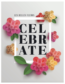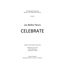The Indianapolis Garden Club Member of The Garden Club of America

presents

# Les Belles Fleurs **CELEBRATE**

A Garden Club of America Flower Show

Woodstock Country Club 1301 W 38th Street Indianapolis, IN 46208

Open to the Public Friday April 22, 2022 – 11:00 a.m. to 3:00 p.m.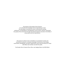The purpose of The Garden Club of America is to stimulate the knowledge and love of gardening; to share the advantage of association by means of educational meetings, conferences, correspondence, and publications; and to restore, improve, and protect the quality of the environment through educational programs and action in the fields of conservation and civic improvement.

The purpose of a flower show is threefold: to set standards of artistic and horticultural excellence; to broaden knowledge of horticulture, floral design, conservation, photography, and other related areas; and to share the beauty of a show with fellow club members and with the public.

The Garden Club of America Flower Show and Judging Guide, July 2020 Edition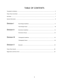## **TABLE OF CONTENTS**

| Division I         |  |
|--------------------|--|
|                    |  |
| <b>Division II</b> |  |
|                    |  |
| Division III       |  |
|                    |  |
| Division V         |  |
|                    |  |
|                    |  |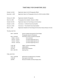### TIMETABLE FOR EXHIBITORS 2022

| October 16, 2019     | Registration Opens for IGC Photography (filled)                                  |
|----------------------|----------------------------------------------------------------------------------|
| November 1, 2019     | Registration Opens for Photography Entries for all GCA members (filled)          |
| February 15, 2020    | Registration Deadline Photography                                                |
| March 21, 2020       | Photography Entry Deadline (Division is filled)                                  |
| October 20, 2021     | Registration Opens for Floral Design and Horticulture                            |
| October 21, 2021     | Horticulture – Six Month Ownership Deadline                                      |
| January 21, 2022     | Horticulture – Three Month Ownership Deadline                                    |
| March 1, 2022        | Registration Deadline for Floral Design & Horticulture Classes (Classes 31 & 32) |
| Thursday, April 21st |                                                                                  |

8:00 – 10:00 AM Entries accepted and passed for Floral Design Photographs placed at Woodstock 8:00 - 10:30 AM Horticulture entries accepted and passed 8:00am - 8:30 am Hort volunteers 8:30 am - 9:10 am Last Name beginning A thru F 9:10 am - 9:50 am Last Name beginning G thru N 9:50 am - 10:30 am Last Name beginning O thru Z 11:00 AM Judges' Luncheon and Briefing 12:00 PM Judging Begins 2:30 PM Flower Show Evaluation 6:00 – 8:00 PM Opening Party

Friday, April 22nd

| $9:30 - 10:30$ AM | Refreshment and Maintenance of Exhibits    |
|-------------------|--------------------------------------------|
| 11:00 AM          | Show opens to the Public                   |
| $3:00$ PM         | Removal of Exhibits and Show Display Items |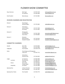### FLOWER SHOW COMMITTEE

| Show Chairmen                      | <b>Beth Seger</b>             | 317-997-5978   | bethseger@hotmail.com          |
|------------------------------------|-------------------------------|----------------|--------------------------------|
|                                    | Jan Sweeney                   | 317-694-3858   | sweeneyjs@aol.com              |
| Club President                     | <b>Betsy Bosway</b>           | 317-319-3881   | bbosway@aol.com                |
| DIVISION CHAIRMEN AND REGISTRATION |                               |                |                                |
| Division I                         | <b>Floral Design</b>          | 317-370-2862   |                                |
|                                    | Michelle Rogers               |                | mldrdr@hotmail.com             |
| Division II                        | Horticulture                  |                |                                |
|                                    | Jessica Stokely               | 317-371-7204   | jstokely@iquest.net            |
|                                    | Pat Jacoby                    | 317-257-4281   | patjacoby@gmail.com            |
| Division III                       | Photography                   |                |                                |
|                                    | Pam Mahoney                   | 317-501-7009   | pammahoney8021@gmail.com       |
|                                    | Anne Shane                    | 317-443-8892   | annekshane@gmail.com           |
| Division V                         | Education                     |                |                                |
|                                    | <b>Brook Johnson</b>          | 317-753-5552   | koorbjohn@aol.com              |
|                                    | Elizabeth Rudolph             | 317-694-4971   | elizabethrudolph62@gmail.com   |
| <b>COMMITTEE CHAIRMEN</b>          |                               |                |                                |
| Awards                             | <b>Alice Hillis</b>           | 317-691-8003   | aghillis422@gmail.com          |
|                                    | <b>Tracy Holt</b>             | 317-414-5200   | tracyholt@holtconstruction.com |
| Calligraphy                        | Pam Hazelett                  | (317) 645 3774 | salatich@gmail.com             |
| Clerks                             | Floral Design and Photography |                |                                |
|                                    | Linda Ford                    | 317-407-7772   | mford105011@gmail.com          |
|                                    | Horticulture                  |                |                                |
|                                    | Gretchen Witt                 | 317-362-6642   | gw@gretchenwitt.net            |
| Judges                             | Jan Sweeney                   | 317-694-3858   | sweeneyjs@aol.com              |
| Luncheon                           | Gina Bremner                  | 317-408-1943   | ginabremner@aol.com            |
|                                    | Janet Nie                     | 317-403-6311   | janetgnie@gmail.com            |
| Dinner                             | Amy Cooke                     | 317-797-0554   | amywcooke@gmail.com            |
|                                    | Claudia Hapak                 | 317-370-3680   | claudiahapak@gmail.com         |
| Hospitality                        | Sue Welch                     | 317-255-5990   | suewelch5990@gmail.com         |
| <b>Opening Party</b>               | Lindsay Thornton              | 317-752-5289   | lindselder@yahoo.com           |
|                                    | Kasey Wakefield               | 317-250-7407   | kaseywakefield@gmail.com       |
| <b>Opening Party Tickets</b>       | Pam Hazelett                  | 317-645-3774   | salatich@gmail.com             |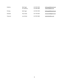| Publicity | <b>Beth Seger</b><br>Jan Sweeney | 317-997-5978<br>317-694-3858 | bethseger@hotmail.com<br>sweeneyjs@aol.com |
|-----------|----------------------------------|------------------------------|--------------------------------------------|
| Printing  | <b>Beth Seger</b>                | 317-997-5978                 | bethseger@hotmail.com                      |
| Schedule  | Amy Cooke                        | 317-797-0554                 | amywcooke@gmail.com                        |
| Treasurer | Lara Knitter                     | 317-997-0360                 | laraknitter@me.com                         |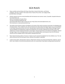### GCA RULES

- 1. Please carefully read and follow GCA Flower Show Rules, General Information, and Division Guidelines. All rules as stated in The Garden Club of America Flower Show and Judging Guide, July 2020 Edition shall apply.
- 2. All plant material must be correctly identified with the botanical and common names, if possible. Accepted references for nomenclature are: AHS A-Z Encyclopedia of Garden Plants, The Plant List at [www.theplantlist.org,](http://www.theplantlist.org/) International Plant Names Index at [www.ipni.org](http://www.ipni.org/) or [http://www.internationalplantnames.com;](http://www.internationalplantnames.com/) Plant Systematics at [www.plantsystematic.org,](http://www.plantsystematic.org/)
- 3. The Garden Club of America expects all exhibitors to be aware of the need to promote conservation of endangered and threatened plants. Plants collected in the wild and listed by the Indiana Natural Heritage Program may not be exhibited in any flower show sponsored by a GCA club. Cultivated plant material listed by the Indiana Natural Heritage Program may be exhibited if accompanied by a typed card stating that it has not been collected from the wild or that it was collected out-of-state and giving information concerning its cultural requirements and methods of propagation. Natural Heritage Program lists of endangered plant material will be available before and during the show from the division chairmen and are available online at [http://plants.usda.gov/t](http://plants.usda.gov/)hreat.html.
- 4. Plant material showing evidence of insects or disease must be removed immediately from the exhibition area. This rule will be enforced at any time during the show, whenever the problem is identified.
- 5. Locally invasive plants, diseased plant material, artificial plant material, live animals (including fish), taxidermy, natural birds' nests, feathers of any kind and protected sea life, are not permitted. <http://plants.usda.gov/java/noxiousDriver>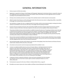### GENERAL INFORMATION

- 1. Entries are open to all GCA club members.
- 2. Registration is required for all classes in Floral Design and Photography. Registration for Horticulture Division is required for classes 31 & 32. Registration forms are provided at the back of the schedule. Classes will be filled in the order registration forms are received according to the postmark/fax/email date and time.
- 3. Entering a show constitutes permission to use images of the submitted content in all GCA channels of communication.
- 4. While The Garden Club of America and The Indianapolis Garden Club will exercise due caution in safeguarding exhibits, responsibility for damage, loss or personal injury cannot be assumed.
- 5. Any clarification or change in the rules, as originally stated in the schedule, shall be communicated promptly in writing by the division chairman to all exhibitors in the class and, at the show, to the judges and to the passing committees.
- 6. An entry card must accompany each entry. Entry cards will be available at the show and upon request from the entry or division chairmen, in advance of the show. Information required on the entry card must be completed in black waterproof medium.
- 7. The passing committee must pass each entry before an exhibitor may leave the show area. The passing committee reserves the right to refuse any entry that does not conform to the rules of the schedule. The exhibitor has the option of correcting the entry, if time permits. If not corrected, the entry cannot be judged, but may remain in place, marked "For Exhibition Only" with a brief, constructively worded statement explaining why it was not judged. The judges may not disqualify any entry passed by the passing committee,unless evidence of insect infestation or disease is identified.
- 8. Once an entry is passed, the exhibitor(s) must immediately leave the show floor. The only exception will be flower show committee members who have entered and been passed according to the timetable. A passed entry may not be touched again by the exhibitor until after judging and then only to carry out necessary maintenance.
- 9. Only participating judges and clerks will be allowed on the show floor during judging. Flower Show Chairmen and Division Chairmen should remain nearby but off the show floor until needed.
- 10. All containers and accessories must be inconspicuously labeled with the exhibitor's name.
- 11. A novice is an individual exhibitor who has not won a first place ribbon or a GCA Special Award in the division entered at a GCA Flower Show, GCA Major Flower Show or Sanctioned Non-GCA Major Flower Show. An exhibitor winning a blue in a GCA Flower Show is still considered a novice in a GCA Major Flower Show or in a Sanctioned Non-GCA Major Flower Show or in another division of any flower show. In addition, an exhibitor who has won a blue or Special Award in a GCA Major Flower Show or Sanctioned Non-GCA Major Flower Show is no longer a novice in any level of GCA Flower Shows in the division won. Only individual novice exhibitors are eligible to receive the GCA Novice Awards or the Sandra Baylor Novice Floral Design Award. A novice exhibitor will be identified on the entry card, following the initial judging.
- 12. A statement of intent is required for all Division I classes and must be submitted at the time of passing. The statement must be no more than 25 words, typed or printed in waterproof medium on a 4"x 6", white, unlined card.
- 13. The Educational component for this show is Division V, Celebrate Native Plants, on page 19.
- 14. All exhibits must remain in place and in show condition until fifteen minutes following the show closing time.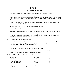### DIVISION I Floral Design Guidelines

- 1. Please carefully read and follow the GCA Rules, General Information, and Timetable for Exhibitors.
- 2. An exhibitor is permitted only one entry per class but may enter more than one class. The exhibitor(s) under whose name(s) the entry has been registered must create and complete the design. No more than two exhibitors may execute a design. All participants must be listed. Only listed exhibitors and show personnel may be on the show floor at the time of entry.
- 3. If forced to withdraw, an exhibitor must notify the registration chairman and class consultant, and find a substitute unless there is a waiting list for the class.
- 4. Mechanics should not be visible unless they are an integral part of the design.
- 5. Designs may be executed off-site and brought to the show completed.
- 6. Anything not prohibited in the GCA rules, Floral Design Division Guidelines, or individual class descriptions is permitted.
- 7. All entries must include fresh and/or dried plant material. Fresh plant material must be in water or conditioned in such a way as to remain in pristine form while on exhibition. Rooted plant material is allowed provided no soil is attached. An entry not maintained in show condition may have its award removed.
- 8. The use of cut fruits and vegetables is prohibited.
- 9. Judging will be based on the principles of design: balance, contrast, dominance, proportion, rhythm, and scale; and the elements of design: light, space, line, form, color, texture, pattern, and size. Creativity is important, as are distinction, conformance to, and interpretation of the class and schedule.
- 10. Tables will be covered with a cloth by the committee and the exhibitor may place an overlay. Tables may not be moved and the diameter of the table may not be enlarged.
- 11. Questions regarding class requirements may be directed to class consultant and/or division chairman. Detailed staging information for all classes will be sent after receipt of entry registration.
- 12. Entries will be judged according to the following point scales:

| <b>Functional Table</b>     |     | <b>Floral Design</b> |           |  |
|-----------------------------|-----|----------------------|-----------|--|
| <b>Floral Design</b>        | 20  | Design               | 35        |  |
| Overall Design              | 25  | Interpretation       | 20        |  |
| Interpretation & Creativity | 15  | Creativity           | 20        |  |
| Color & textural harmony    | 15  | <b>Distinction</b>   | 15        |  |
| Conformance                 | 15  | Conformance          | <u>10</u> |  |
| Distinction                 | 10  | <b>Total Points</b>  | 100       |  |
| <b>Total Points</b>         | 100 |                      |           |  |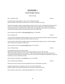### Class Consultant: Amy Cooke / [amywcooke@gmail.com](mailto:amywcooke@gmail.com) / 317-797-0554

A functional table celebrating a birthday. Staged on a 30" round x 30" high table. Black floor length covering will be

Functional table: a table exhibit arranged for dining committeeing dishes, glassware, linens, and floral design(s)

Class 3: Celebrate Spring 6 entries

A hat designed of primarily fresh plant material.

with or without other components. FS&JG, 2020

Staged using a white Styrofoam head 18" tall on a banquet table 6' long x 30" wide x 30" high. Two entries per table. Design may not exceed 24" in width. Black floor length covering will be provided by the committeee. Manufactured hats or hat forms may not be used. Head form available upon registration and may not be altered in any way. Viewed from all sides.

Class Consultant: Helen Miles / [hmiles80@gmail.com](mailto:hmiles80@gmail.com) / 317-441-4005

Class 4: A Monumental Celebration 6 entries

Monument Circle has served as the literal and figurative center of Indianapolis since 1820.

A design incorporating a circle staged on a 36" round x 42" high cocktail table. Black floor length covering will be provided by the committeee. Viewed from all sides.

Class Consultant: Cathy Lawson / [cathywoodlawson@gmail.com](mailto:cathywoodlawson@gmail.com) / 317-251-1934

### DIVISION I Floral Design Classes

#### Celebrate Design

Monochromatic design: a design incorporating plant material of just one color, committeeing the shades and tints of the hue. A small amount of green foliage is allowed with the chosen single color; small bit of attached nonconforming floral parts are permitted e.g. the yellow center of a purple aster. Unless stated in the schedule, the

Class 1: Celebrate LOVE 6 entries

A monochromatic design staged on a 36" round x 42" high cocktail table.

container, bases and/or stands do not need to be the same color. FS&JG, 2020

Class Consultant: Hilary Salatich / [hilarysalatich@gmail.com](mailto:hilarysalatich@gmail.com) / 317-946-5959

provided by the committeee. Overlay permitted. Viewed from all sides.

Black floor length covering will be provided by the committeee. Viewed from all sides.

Class 2: Celebrate LIFE 6 entries and the control of the control of the control of the control of the control of the control of the control of the control of the control of the control of the control of the control of the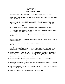### DIVISION II Horticulture Guidelines

- 1. Please carefully read and follow the GCA Rules, General Information, and Timetable for Exhibitors.
- 2. Entries must have been owned and grown by the exhibitor for a minimum of three months, unless otherwise stated in the schedule.
- 3. Entries eligible for the **Catherine Beattie Medal** and/or the **Clarissa Willemsen Horticulture Propagation Award** must have been in the possession of the exhibitor for at least six months and will be identified on the entry card. A propagation card with dates and methods must accompany entries eligible for the **Clarissa Willemsen Horticulture Propagation Award**.
- 4. An exhibitor may submit three entries per class, provided each is a different species or cultivar.
- 5. All entries propagated by the exhibitor must be identified with details of the method and relevant date(s) of propagation on an accompanying Propagation Card.
- 6. Mats, stands, and saucers are not allowed, unless otherwise stated. Unobtrusive staking and ties are allowed.
- 7. Classes may be subdivided and entries moved and/or reclassified at the discretion of the horticulture committee and/or the judges. Plants trained as bonsais are not meant to be judged and therefore not to be entered in competition.
- 8. Containers are measured at the diameter or the diagonal of the widest point on the inside of the rim at the soil line.
- 9. One key card (diagram or plant list) is required when multiple species or cultivars are exhibited in the same container and/or propagation information is applicable. Key card must be a 4"x 6" white, unlined card and completed in black waterproof medium. A 4" x 6" photograph with identifying numbers may be used.
- 10. Container-grown plants should be exhibited in containers that are clean, unobtrusive, and compatible with the exhibit. Terracotta clay pots are preferred. Other options include stone-like (Hypertufa), wire baskets, slatted orchid baskets, and plants mounted on driftwood. Disguised double potting and top dressing are permitted; top dressing must not float when watered.
- 11. The committee will provide containers and wedging materials for all cut specimens except branches in Classes 17-26. Exhibitor is to anchor specimen in own clear glass bottle.
- 12. A dot with the entry number on it should be affixed to the container to ensure an entry card, separated from the exhibit container during staging, can be returned to the proper entry before judging.
- 13. The committee will water the exhibits if instructed to do so in writing. Notify division chairman at the time of entry with written instructions for watering.
- 14. Entries will be judged according to the following point scales from the FS&JG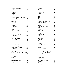| <b>Branches / Evergreen</b><br>Condition<br>Form of branch<br>Grooming<br>Distinction<br><b>Total Points</b> | 40<br>40<br>10<br>10<br>100 |  |
|--------------------------------------------------------------------------------------------------------------|-----------------------------|--|
| <b>Branches / Flowering or Berried</b>                                                                       |                             |  |
| Amount of flowers or fruit                                                                                   | 25                          |  |
| Quality of flowers or fruit                                                                                  | 25                          |  |
| Condition                                                                                                    | 20                          |  |
| Grooming                                                                                                     | 15                          |  |
| Form of branch                                                                                               | 10                          |  |
| Distinction                                                                                                  | $\overline{5}$              |  |
| Total Points                                                                                                 | 100                         |  |
| <b>Bulbs</b>                                                                                                 |                             |  |
| Exhibit as a whole                                                                                           | 40                          |  |
| Bloom                                                                                                        | 40                          |  |
| Stem                                                                                                         | 10                          |  |
| Foliage attached to stem                                                                                     | 10                          |  |
| <b>Total Points</b>                                                                                          | 100                         |  |
| Cut Flowers / Stem                                                                                           |                             |  |
| <b>Flower Form</b>                                                                                           | 15                          |  |
| Substance                                                                                                    | 15                          |  |
| Color                                                                                                        | 10                          |  |
| Size                                                                                                         | 15                          |  |
| Foliage and stem                                                                                             | 25                          |  |
| Balance and proportion                                                                                       | 10                          |  |
| Condition and grooming                                                                                       | 10                          |  |
| <b>Total Points</b>                                                                                          | 100                         |  |
| <b>Cut Flowers</b>                                                                                           |                             |  |
| (spike, stalk or multiple-flowered stem)                                                                     |                             |  |
| <b>Flower Spacing</b>                                                                                        | 15                          |  |
| Number                                                                                                       | 15                          |  |
| Substance                                                                                                    | 15                          |  |
| Color                                                                                                        | 10                          |  |
| Size                                                                                                         | 10                          |  |
| Stem length and strength                                                                                     | 15                          |  |
| Foliage                                                                                                      | 10                          |  |
| Condition and grooming                                                                                       | 10                          |  |
| <b>Total Points</b>                                                                                          | 100                         |  |

| <b>Daffodils</b>                   |                |
|------------------------------------|----------------|
| Condition                          | 20             |
| Form                               | 20             |
| Substance & texture                | 15             |
| Color                              | 15             |
| Pose                               | 10             |
| Stem                               | 10             |
| Size                               | <u>10</u>      |
| <b>Total Points</b>                | 100            |
| <b>Flowering / Fruiting Plants</b> |                |
| Cultural perfection                | 40             |
| Quality of flower/fruit            | 25             |
| Grooming                           | 15             |
| Form and size of plant             | 10             |
| Color                              | 5              |
| Foliage                            | $\overline{5}$ |
| <b>Total Points</b>                | 100            |
| <b>Foliage Plants</b>              |                |
| Cultural perfection                | 45             |
| Form                               | 15             |
| Grooming                           | 15             |
| Distinction                        | 15             |
| Color effect                       | <u>10</u>      |
| <b>Total Points</b>                | 100            |
| <b>Orchids</b>                     |                |
| Form of flower                     | 30             |
| Color of flower                    | 30             |
| Other                              | 40             |
| Size of flower                     |                |
| Substance & texture                |                |
| Habit & arrangement                |                |
| of inflorescence(s)                |                |
| Floriferousness                    |                |
| <b>Total Points</b>                | 100            |
| Parent/Child                       |                |
| <b>Cultural Perfection</b>         | 50             |
| Difficulty of Propagation          | 20             |
| Maturity                           | 20             |
| Distinction                        | 10             |
| <b>Total Points</b>                | 100            |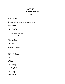### DIVISION II Horticulture Classes

Celebrate Gardens

CUT SPECIMENS Unlimited Entries One stem, spike, or spray

Perennial or Biennial One blooming stem – Any foliage must be attached to the stem

Class 1. *Aquilegia* Class 2. *Dicentra* Class 3. *Helleborus* Class 4. *Polygonatum* Class 5. Other

Bulbs, Corms, Rhizomes and Tubers One blooming stem – Any foliage must be attached to the stem

Class 6. *Allium* Class 7. *Narcissus* Class 8. *Hyacinthus* Class 9. *Muscari* Class 10. *Tulipa* Class 11. Other

Perennials Grown for foliage One stem or leaf

Class 12. *Arum* Class 13. *Heuchera* Class 14. *Hosta – large leaf* Class 15. *Hosta – small leaf* Class 16. Other

Shrubs One branch

#### Class 17. Flowering

- *a. Rhododendron (Azalea)*
- *b. Viburnum*
- c. Other

Class 18. Foliage Class 19. Fruit/Berries/Nuts Class 20. Evergreen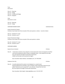14

Container may include more than one plant of the same species or cultivar Class 29. Container 6" or less Class 30. Container over 6" CONTAINER GARDEN

Container may include more than one plant of the same species or cultivar – must be in bloom

#### Spring Terrace Container **1996** Container 1996 Container 1997 Container 1997 Container 1997 Container 1997 Container

Trees One branch

Vines

Class 21. Flowering Class 22. Foliage

Class 24. Evergreen

One branch or stem

Class 25. Flowering Class 26. Foliage

Grown Primarily for Flowers

Class 27. Container 6" or less Class 28. Container over 6"

Grown Primarily for Foliage

Class 23. Fruit/Berries/Foliage

Class 31. A decorative container of any shape for a terrace focal point. Entry to be placed on the floor and must be waterproof and/or include a compatible saucer. To be viewed from all sides. Key card required. No length of ownership requirement. Exhibit must be able to be moved by the stagers.

Class Consultant: Becky Feldman / bec52@aol.com / 317-446-3639

#### Celebrate Circle City 4 Entries

Class 32. A wreath planted with live plants to be displayed on a wreath stand. Stand provided by the committee. Fresh cut flowers and/or dried plant material may be added. Planted size not to exceed 30" in any direction. Viewed from the front. Key card required. No length of ownership requirement.

Class Consultant: Edie Enright / edieenright@mac.com / 317-437-3797

CONTAINER GROWN PLANTS Unlimited Entries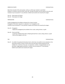#### GRAND OLD PLANTS Unlimited Entries

More than one plant of the same species, variety, or cultivar per container is permitted. All plants in container must be at least 5 years old. The age of the plant must be stated on the entry card. Container may not exceed 14" in any direction. Exhibit must be able to be moved by the stagers.

Class 33. Plants grown for flowers Class 34. Plants grown for foliage

PROPAGATION Unlimited Entries

A plant propagated by the exhibitor and grown for at least 6 months. Propagation information required on a separate 4" x 6" propagation card. Container may not exceed 12" in any direction. Exhibit must be able to be moved by the stagers.

- Class 35. Propagation Single plant propagated by the exhibitor from a seed, cutting, division, or graft.
- Class 36. Parent and Child A specimen exhibited along with its offspring derived from a seed, cutting, division, or graft. Plants will be judged as one unit.

PAR Unlimited Entries

Class 37. An exhibit of exceptional horticultural merit, which does not qualify for entry elsewhere in the Horticulture division. Entries in the Par class must have been owned and grown by the exhibitor for a minimum of one year. Cut specimens, orchids, or hanging baskets are not permitted. Judged against perfection. Container may not exceed 12" in any direction . Exhibit must be able to be moved by the stagers.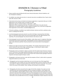### DIVISION III / Division is Filled Photography Guidelines

- 1. Please carefully read and follow the GCA rules, General Information, Division Guidelines, and the Timetable for Exhibitors.
- 2. An exhibitor may make only one entry in a class but may enter one additional class if spots remain open after January 6, 2020.
- 3. Total entries for the show are limited to 36. Advance registration is required by February 15, 2020. Registration for IGC members opens on October 16, 2019. Registration opens for all GCA members on November 1, 2019. Registration will be accepted by email only. The classes will be filled in the order that the registrations are received. Exhibitors will be notified if accepted or not, at the time of registration. Email registration to Anne Shane / [annekshane@gmail.com.](mailto:annekshane@gmail.com)
- 4. If forced to withdraw, an exhibitor must notify the division chairman and find a substitute unless there is a waiting list for the class.
- 5. A printed photograph previously entered in any GCA, GCA Major, Sanctioned Non-GCA Major Show, or a GCA Focus online contest may not be entered again even with slight alterations and reprinting. The same photograph may only be entered in one show at a time.
- 6. Each photograph must be the work of the exhibitor, under whose name it is registered. Mounting and printing may be done professionally. All photographs must be 2-dimensional and printed on paper unless otherwise specified. All post-production must be done before the photograph is printed.
- 7. Editing at any stage must be the work of the exhibitor. This includes enhancement for color or clarity, removal of a part of the image, combining images, or distorting the original subject. Commercial overlays and textures are allowed.
- 8. Photography entries are limited to subjects consistent with The Garden Club of America's interests such as: horticulture, floral design, gardens/landscapes, conservation and the environment, historic preservation, civic improvement, and the natural world. Plant material and/or geological material is required in all classes except for Classes 1 and 6.
- 9. Photographs in all classes must be in color with the exception of Class 5, which calls for a grayscale image with selective use of one color.
- 10. Photographs must be mounted on black foam core cut to the exact size of the image (flush mounting) with no over-matting. The size of the overall perimeter must be a minimum of 50" and not exceed 72". Maximum horizontal dimension of the entry should not exceed 18". The surface finish is the choice of the exhibitor. Glass, matting, and framing are not permitted.
- 11. Photography entry forms may be found on pages 25-26 of this schedule. Two copies are to be submitted with each finished photograph and must include the exhibitor's name, garden club, zone, email address, physical address, phone number, and class entered. One entry form is to be attached to the back of the photograph. The top of the photograph must be indicated. A duplicate loose copy of the entry form must accompany the entry (allowing the statement of intent and other information to be accessible after the entry is installed). Identification of plant material on the entry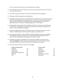form is not required for all classes but encouraged whenever possible.

- 12. An optional title and/or or brief statement of intent may be included on the entry form and must be no more than 25 words.
- 13. The division chairman will provide an entry card to be staged with each photograph.
- 14. Photographs will be hung against a black background.
- 15. Photographs should be delivered or mailed after March 1, 2020 and must be received no later than March 21, 2020. Photographs should be delivered or mailed to Anne Shane / 6355 Oxbow Way, Indianapolis, IN 46220. Receipt of photograph will be acknowledged by email. Please direct delivery questions to Anne Shane / [annekshane@gmail.com](mailto:annekshane@gmail.com) / 317-443-8892.
- 16. All photographs will be passed by the photography committee to verify that class specifications have been met. If a photograph is not passed, the exhibitor will be notified and allowed, if time permits, to send a replacement photograph.
- 17. Only the photography committee may reclassify an entry and only with the permission of the exhibitor. The photography committee and/or the judges may subdivide a class.
- 18. Only appropriate images of a child or children should be submitted to, passed, and exhibited in the Photography Division and published in Focus. Featuring identifiable people (other than in street scenes) in photographs is discouraged as GCA requires a release.
- 19. Although discouraged, if a photograph is to be returned, the exhibitor must provide a self addressed, **prepaid** return label, envelope, and packing material, if required. No boxes please. Any award received will be noted on the back of the mount before it is returned.
- 20. The scale of points by which the classes are to be judged:

|     | All other classes       |            |
|-----|-------------------------|------------|
| 30  | Creativity              | 25         |
| 20  | Composition             | 25         |
| 25  | <b>Technical Merit</b>  | 20         |
| 10  | Distinction             | 20         |
| 15  | Interpretation of Theme | <u> 10</u> |
| 100 | <b>Total Points</b>     | 100        |
|     |                         |            |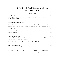### DIVISION III / All Classes are Filled Photography Classes

#### Celebrate Light

| Class 1. Celebrate Indy<br>A photo depicting iconic Indianapolis. Entries limited to members of the Indianapolis Garden Club.<br>Plant material not required.                                            | 6 Entries |
|----------------------------------------------------------------------------------------------------------------------------------------------------------------------------------------------------------|-----------|
| Class 2. Celebrate Beauty<br>A close-up photo of a flower or flowers.                                                                                                                                    | 6 Entries |
| Educational note: a photo taken close to the subject or with a long focal-length lens to permit a<br>close and detailed view of the object. The object fills most of the frame. (GCA FS&JG 2020 edition) |           |
| Class 3. Celebrate History<br>A photo of a landscape which features a monument. Plant material required.                                                                                                 | 6 Entries |
| Class 4. Celebrate Speed<br>A photo which is shot to capture movement. Plant material required.                                                                                                          | 6 Entries |
| Class 5. Celebrate Creativity<br>A photo which is manipulated to selectively use a single color in an otherwise grayscale image.<br>It is not monochrome. Plant material required.                       | 6 Entries |
| Educational note: This type of photograph is defined as a "Color Splash," (or Spot Color or<br>Selective Color) in the GCA FS&JG Glossary.                                                               |           |
| Class 6. Celebrate Progress<br>A photo of a cityscape or urban landscape. Plant material not required.                                                                                                   | 6 Entries |
| Division III Class Consultants: Pam Mahoney / pammahoney8021@gmail.com / 317-501-7009                                                                                                                    |           |

Anne Shane / [annekshane@gmail.com](mailto:annekshane@gmail.com) / 317-443-8892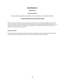### DIVISION V Education

#### **Education Guidelines**

Please carefully read and follow the GCA Rules, General Information, and Timetable for Exhibitors

#### **Conservation/Horticulture Education Exhibit**

What was once the darling of landscape design for both urban and residential gardens has evolved into one of Indiana's most invasive species. The Bradford Pear was celebrated as the perfect tree but is now an invasive that chokes out native trees and plants. Thus, native insects, pollinators, birds and wildlife cannot be properly supported.

#### **Statement of Intent**

This exhibit demonstrates that consumer choices for creating native plant gardens create patches of habitat that collectively affect and sustain our Indiana pollinators, birds, and wildlife.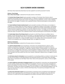### **GCA FLOWER SHOW AWARDS**

GCA Flower Show Awards described below have been applied for and will be presented if merited.

#### **Division I, Floral Design**

**Best in Show Floral Design** is selected from first place winners in the division.

The **Dorothy Vietor Munger Award** may be awarded to members of The Garden Club of America clubs in competitive Floral Design classes at a GCA Flower Show. It is offered in recognition of creative work of outstanding beauty using predominantly fresh plant material. The design must have placed first, second, or third. Challenge class entries are not eligible. The award is not a substitute for Best in Show and will be given at the discretion of the judges.

The **Harriet DeWaele Puckett Creativity Award** may be awarded to members of GCA clubs or non-members in recognition of a uniquely skillful and creative response to an imaginative schedule in Floral Design. It will be given for an innovative and interpretive entry, which, although it abides by the principles of good design, goes beyond traditional period arrangement to whatever art form the exhibitor(s) chooses. The design must have placed first, second, or third in the Floral Design Division of a GCA Flower Show. An entry in any challenge class is not eligible to receive this award. The award is not a substitute for Best in Show and will be given at the discretion of the judges.

The **Sandra Baylor Novice Floral Design Award** may be given at a GCA Flower Show to an exhibitor who is a member of a GCA club and who has never won first place, or a GCA Special Award in the Floral Design Division of a GCA Flower Show, GCA Major Flower Show or Sanctioned Non-GCA Major Flower Show. It shall be awarded to an individual novice exhibitor for a unique and skillful response to the schedule. Novice entries placing first, second, or third in any competitive class, including challenge classes, are eligible for this award.

#### **Division II, Horticulture**

**Best in Show Horticulture** is selected from first place winners in the division.

The **Catherine Beattie Medal** may be awarded for a horticulture entry distinguished by its vibrancy, prime condition, and perfection of grooming. The exhibitor must have owned and grown the exhibit for at least six months. The medal may be awarded for a single plant, collection of plants, container garden, or cut specimen, but only if there is an exhibit worthy of the honor. It may be awarded to members of GCA clubs only; individual, joint, and club entries are eligible. The award should not be considered as a substitute for Best in Show. The medal may not be awarded to the same exhibit more than once; however, offspring of a Beattie winner are eligible to receive the award.

The **GCA Novice Award in Horticulture** may be awarded for an outstanding exhibit to a member of a GCA club who has never won first place or a GCA Special Award in the horticulture division in a GCA Flower Show, GCA Major Flower Show or Sanctioned non-GCA Major Flower Show. Novice entries placing first, second, or third are eligible for this award.

The **Clarissa Willemsen Horticulture Propagation Award** may be awarded for a horticulture entry distinguished by its prime condition, flawless grooming and difficulty of propagation. The entry must have been propagated and grown by the exhibitor for at least six months. This award may be given for a single rooted plant or a collection of rooted plants. The dates and method of propagation must be recorded on an accompanying propagation card. The entry must have placed first, second, or third at a GCA Flower Show. The award may not be given to the same exhibit more than once.

The **Rosie Jones Horticulture Award** may be presented to a horticulture entry of exceptional visual appeal that reflects the spirit of growing with joy and enthusiasm and inspires others to propagate, grow, show and share horticulture. An exhibit that has been propagated by the exhibitor will be given special consideration but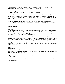propagation is not a requirement. Perfection, while always desirable, is not a primary criterion. This award celebrates the ineffable joy inherent in the beauty and pursuit of horticulture.

#### **Division III, Photography**

**Best in Show Photography** is selected from first place winners in the division.

The **GCA Novice Award in Photography** may be awarded for an outstanding exhibit to a member of a GCA club who has never won first place or a GCA Special Award in the photography division in a GCA Flower Show, GCA Major Flower Show or Sanctioned non-GCA Major Flower Show. Novice entries placing first, second, or third are eligible for this award.

The **Photography Creativity Award** may be awarded at a GCA Flower Show to a member of a GCA club in recognition of creative and technical excellence in response to the theme of the schedule. The entry must have placed first, second, or third.

#### **Division V, Education**

#### For exhibits

The **Ann Lyon Crammond Award** may be presented at a GCA Flower Show to an outstanding educational exhibit, which best educates the public about gardens. Any educational exhibit, which increases the appreciation of any aspect of plants, gardens, or landscape design, may be considered for this award. The award may be given to GCA club members, member clubs, non-members or other organizations.

The **Marion Thompson Fuller Brown Conservation Award** may be presented for an outstanding conservation exhibit at a GCA Flower Show. The award recognizes an exhibit of exceptional educational and visual merit, which increases knowledge and awareness of the environment. The exhibit should emphasize environmental concerns and may demonstrate conservation practices. Plant material may or may not be used and, when appropriate, must be clearly identified. Protected material may be included if such materials are identified as protected and not collected in the wild. The award may be given to The Garden Club of America clubs, club members, non-members or other organizations.

#### **Overall**

#### **Education Award**

The **Education Award** may be presented to an entry, a class, a division or an entire show for an exhibit of exceptional merit which educates the public in keeping with the purpose statement of the GCA. This award may be given to GCA clubs and GCA club members.

**Judges' Commendation(s)** may be given to an entry, class, section, special exhibit or other aspect of the show that is of exceptional merit.

**Award of Appreciation** may be given to thank an exhibitor or group for participation. The award may also be given to non-judged classes.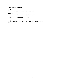#### **Indianapolis Garden Club Awards**

#### **Floral Design**

The floral design that best depicts the show's theme of Celebration.

#### **Horticulture**

IGC member with the most entries in the Horticulture Division II.

Most unusual specimen in Horticulture Division II.

#### **Photography**

The photo that best depicts the show's theme of Celebration. Eligibility limited to IGC members.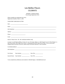DIVISION I / Celebrate Design Floral Design Registration Form

Please complete one registration per entry. Registration Deadline: March 1, 2022

PLEASE PRINT USING BLOCK LETTERS Date: \_\_\_\_\_\_\_\_\_\_\_\_\_\_\_\_\_\_\_\_\_\_\_\_\_\_\_\_\_\_\_\_\_ Name: \_\_\_\_\_\_\_\_\_\_\_\_\_\_\_\_\_\_\_\_\_\_\_\_\_\_\_\_\_\_\_\_\_\_\_\_\_\_\_\_\_\_\_\_\_\_\_\_\_\_\_\_\_\_\_\_\_\_\_\_\_\_\_\_\_\_\_\_\_\_\_\_\_\_\_\_\_\_\_\_\_\_\_\_\_\_ GCA Club/Zone: \_\_\_\_\_\_\_\_\_\_\_\_\_\_\_\_\_\_\_\_\_\_\_\_\_\_\_\_\_\_\_\_\_\_\_\_\_\_\_\_\_\_\_\_\_\_\_\_\_\_\_\_\_\_\_\_\_\_\_\_\_\_\_\_\_\_\_\_\_\_\_\_\_\_\_\_\_ Address: \_\_\_\_\_\_\_\_\_\_\_\_\_\_\_\_\_\_\_\_\_\_\_\_\_\_\_\_\_\_\_\_\_\_\_\_\_\_\_\_\_\_\_\_\_\_\_\_\_\_\_\_\_\_\_\_\_\_\_\_\_\_\_\_\_\_\_\_\_\_\_\_\_\_\_\_\_\_\_\_\_\_\_\_ Phone: \_\_\_\_\_\_\_\_\_\_\_\_\_\_\_\_\_\_\_\_\_\_\_\_\_\_\_ Email: \_\_\_\_\_\_\_\_\_\_\_\_\_\_\_\_\_\_\_\_\_\_\_\_\_\_\_\_\_\_\_\_\_\_\_\_\_\_\_\_\_\_\_\_\_\_\_\_\_\_\_\_\_\_\_\_\_\_\_\_\_\_\_\_\_\_\_\_\_\_\_\_\_\_\_\_\_\_\_\_\_\_\_\_\_\_\_ Novice? Please Circle: YES NO (individual exhibitor only) A novice is an individual exhibitor who has not won a first place ribbon or a GCA Special Award in Floral Design in a GCA Flower Show, GCA Major Flower Show, or Sanctioned Non GCA Major Flower Show. If your novice status changes before the date of this show, please notify the division chairman or class consultant.

| First Choice: | Class Number and the class of the control of the control of the control of the control of the control of the c | Class Title                 |
|---------------|----------------------------------------------------------------------------------------------------------------|-----------------------------|
|               | Second Choice: Class Number                                                                                    | Class Title _______________ |

To be completed by exhibitor(s) and emailed to: Michelle Rogers / [mldrdr@hotmail.com](mailto:mldrdr@hotmail.com)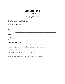DIVISION II / Celebrate Gardens Horticulture Registration Form

Please complete one registration per entry Registration Deadline for classes 31 & 32: March 1, 2022

PLEASE PRINT USING BLOCK LETTERS

| Novice? Please Circle: YES NO |                                                                                                                                                                                                                                                                                                                                  |
|-------------------------------|----------------------------------------------------------------------------------------------------------------------------------------------------------------------------------------------------------------------------------------------------------------------------------------------------------------------------------|
|                               | A novice is an individual exhibitor who has not won a first place ribbon or a GCA Special Award in Horticulture in a<br>GCA Flower Show, GCA Major Flower Show, or Sanctioned Non GCA Major Flower Show. If your novice status<br>changes before the date of this show, please notify the division chairman or class consultant. |
|                               | First Choice: Class Number _________________________ Class Title ___________________________________                                                                                                                                                                                                                             |
|                               |                                                                                                                                                                                                                                                                                                                                  |

To be completed by exhibitor and emailed to: Jessica Stokely / jstokely@iquest.net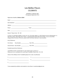DIVISION III / Celebrate Light Photography Registration Form

To be completed by exhibitor and emailed to: Anne Shane / [annekshane@gmail.com](mailto:annekshane@gmail.com)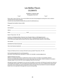DIVISION III / Celebrate Light Photography Entry Form

 $\uparrow$  TOP  $\uparrow$ 

Please make 2 copies of this form. One must be affixed to the back of the photograph mounting when entry is mailed or submitted with top of photo indicated. A second, loose copy should be included with your photo for administrative use.

Photograph Entry Deadline: *Division is filled*

| Novice? Please Circle: YES NO                                                                                                                                                                                                                                                                                                   |  |
|---------------------------------------------------------------------------------------------------------------------------------------------------------------------------------------------------------------------------------------------------------------------------------------------------------------------------------|--|
| A novice is an individual exhibitor who has not won a first place ribbon or a GCA Special Award in<br>Photography in a GCA Flower Show, GCA Major Flower Show, or Sanctioned Non GCA Major Flower Show.<br>If your novice status changes before the date of this show, please notify the division chairman or class consultant. |  |
|                                                                                                                                                                                                                                                                                                                                 |  |
|                                                                                                                                                                                                                                                                                                                                 |  |
|                                                                                                                                                                                                                                                                                                                                 |  |
|                                                                                                                                                                                                                                                                                                                                 |  |

Prepaid, self-addressed return envelope with label has been provided? Please Circle: YES NO

Send completed registration form and photograph to: Anne Shane / 6355 Oxbow Way, Indianapolis, IN 46220 / 317-443-8892 / [annekshane@gmail.com](mailto:annekshane@gmail.com)

Suggested Shipping Instructions:

Wrap your mounted image between 2 suitable pieces of foam core (this is very light) or non-bendable cardboard. Use one or two bubble wrap envelopes that are several inches larger than your images. (Smaller envelopes are too tight to easily get images in and out with their various wrappings.) Please do not use boxes.

Although discouraged, if a photograph is to be returned, the exhibitor must provide a self-addressed, prepaid return label and unused bubble wrap envelope. This can be folded and included with the entry. Foam core or cardboard inserts will be stored and used for return mailing. Any award received will be noted on the back of the mount before it is returned. Indianapolis Garden Club is not responsible for damage which may occur during mailing.